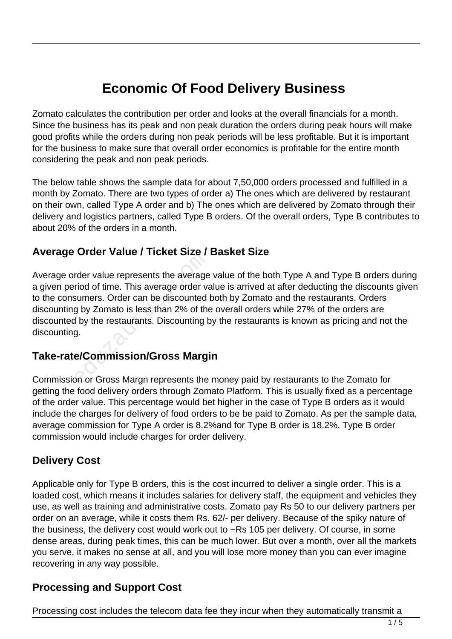# **Economic Of Food Delivery Business**

Zomato calculates the contribution per order and looks at the overall financials for a month. Since the business has its peak and non peak duration the orders during peak hours will make good profits while the orders during non peak periods will be less profitable. But it is important for the business to make sure that overall order economics is profitable for the entire month considering the peak and non peak periods.

The below table shows the sample data for about 7,50,000 orders processed and fulfilled in a month by Zomato. There are two types of order a) The ones which are delivered by restaurant on their own, called Type A order and b) The ones which are delivered by Zomato through their delivery and logistics partners, called Type B orders. Of the overall orders, Type B contributes to about 20% of the orders in a month.

#### **Average Order Value / Ticket Size / Basket Size**

Average order value represents the average value of the both Type A and Type B orders during a given period of time. This average order value is arrived at after deducting the discounts given to the consumers. Order can be discounted both by Zomato and the restaurants. Orders discounting by Zomato is less than 2% of the overall orders while 27% of the orders are discounted by the restaurants. Discounting by the restaurants is known as pricing and not the discounting. Fract Value / Hoket SIZe /<br>Tract value represents the average<br>riod of time. This average order va<br>sumers. Order can be discounted<br>g by Zomato is less than 2% of the<br>d by the restaurants. Discounting b<br>g.<br>**e/Commission/Gros** 

#### **Take-rate/Commission/Gross Margin**

Commission or Gross Margn represents the money paid by restaurants to the Zomato for getting the food delivery orders through Zomato Platform. This is usually fixed as a percentage of the order value. This percentage would bet higher in the case of Type B orders as it would include the charges for delivery of food orders to be be paid to Zomato. As per the sample data, average commission for Type A order is 8.2%and for Type B order is 18.2%. Type B order commission would include charges for order delivery.

#### **Delivery Cost**

Applicable only for Type B orders, this is the cost incurred to deliver a single order. This is a loaded cost, which means it includes salaries for delivery staff, the equipment and vehicles they use, as well as training and administrative costs. Zomato pay Rs 50 to our delivery partners per order on an average, while it costs them Rs. 62/- per delivery. Because of the spiky nature of the business, the delivery cost would work out to ~Rs 105 per delivery. Of course, in some dense areas, during peak times, this can be much lower. But over a month, over all the markets you serve, it makes no sense at all, and you will lose more money than you can ever imagine recovering in any way possible.

### **Processing and Support Cost**

Processing cost includes the telecom data fee they incur when they automatically transmit a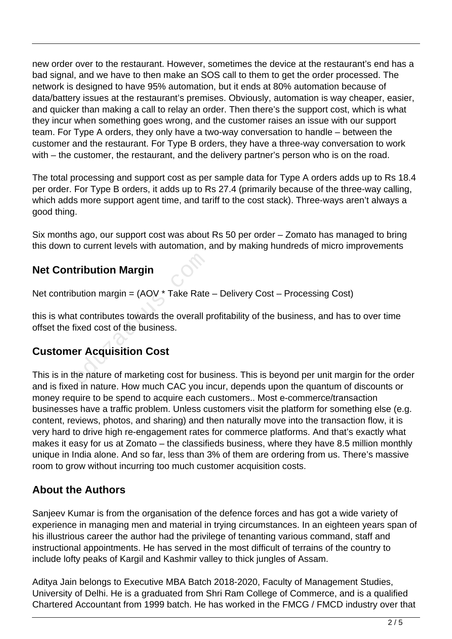new order over to the restaurant. However, sometimes the device at the restaurant's end has a bad signal, and we have to then make an SOS call to them to get the order processed. The network is designed to have 95% automation, but it ends at 80% automation because of data/battery issues at the restaurant's premises. Obviously, automation is way cheaper, easier, and quicker than making a call to relay an order. Then there's the support cost, which is what they incur when something goes wrong, and the customer raises an issue with our support team. For Type A orders, they only have a two-way conversation to handle – between the customer and the restaurant. For Type B orders, they have a three-way conversation to work with – the customer, the restaurant, and the delivery partner's person who is on the road.

The total processing and support cost as per sample data for Type A orders adds up to Rs 18.4 per order. For Type B orders, it adds up to Rs 27.4 (primarily because of the three-way calling, which adds more support agent time, and tariff to the cost stack). Three-ways aren't always a good thing.

Six months ago, our support cost was about Rs 50 per order – Zomato has managed to bring this down to current levels with automation, and by making hundreds of micro improvements

## **Net Contribution Margin**

Net contribution margin = (AOV \* Take Rate – Delivery Cost – Processing Cost)

this is what contributes towards the overall profitability of the business, and has to over time offset the fixed cost of the business. tribution Margin<br>
bution margin =  $(AOV * Take Rate$ <br>
t contributes towards the overall p<br>
ixed cost of the business.<br> **er Acquisition Cost**<br>
the nature of marketing cost for bu

## **Customer Acquisition Cost**

This is in the nature of marketing cost for business. This is beyond per unit margin for the order and is fixed in nature. How much CAC you incur, depends upon the quantum of discounts or money require to be spend to acquire each customers.. Most e-commerce/transaction businesses have a traffic problem. Unless customers visit the platform for something else (e.g. content, reviews, photos, and sharing) and then naturally move into the transaction flow, it is very hard to drive high re-engagement rates for commerce platforms. And that's exactly what makes it easy for us at Zomato – the classifieds business, where they have 8.5 million monthly unique in India alone. And so far, less than 3% of them are ordering from us. There's massive room to grow without incurring too much customer acquisition costs.

## **About the Authors**

Sanjeev Kumar is from the organisation of the defence forces and has got a wide variety of experience in managing men and material in trying circumstances. In an eighteen years span of his illustrious career the author had the privilege of tenanting various command, staff and instructional appointments. He has served in the most difficult of terrains of the country to include lofty peaks of Kargil and Kashmir valley to thick jungles of Assam.

Aditya Jain belongs to Executive MBA Batch 2018-2020, Faculty of Management Studies, University of Delhi. He is a graduated from Shri Ram College of Commerce, and is a qualified Chartered Accountant from 1999 batch. He has worked in the FMCG / FMCD industry over that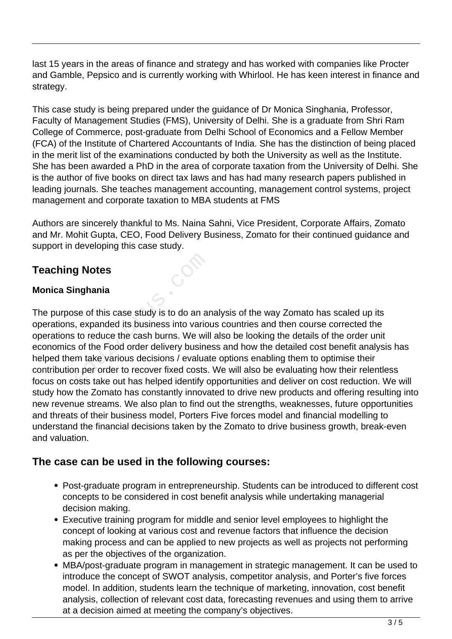last 15 years in the areas of finance and strategy and has worked with companies like Procter and Gamble, Pepsico and is currently working with Whirlool. He has keen interest in finance and strategy.

This case study is being prepared under the guidance of Dr Monica Singhania, Professor, Faculty of Management Studies (FMS), University of Delhi. She is a graduate from Shri Ram College of Commerce, post-graduate from Delhi School of Economics and a Fellow Member (FCA) of the Institute of Chartered Accountants of India. She has the distinction of being placed in the merit list of the examinations conducted by both the University as well as the Institute. She has been awarded a PhD in the area of corporate taxation from the University of Delhi. She is the author of five books on direct tax laws and has had many research papers published in leading journals. She teaches management accounting, management control systems, project management and corporate taxation to MBA students at FMS

Authors are sincerely thankful to Ms. Naina Sahni, Vice President, Corporate Affairs, Zomato and Mr. Mohit Gupta, CEO, Food Delivery Business, Zomato for their continued guidance and support in developing this case study.

## **Teaching Notes**

#### **Monica Singhania**

The purpose of this case study is to do an analysis of the way Zomato has scaled up its operations, expanded its business into various countries and then course corrected the operations to reduce the cash burns. We will also be looking the details of the order unit economics of the Food order delivery business and how the detailed cost benefit analysis has helped them take various decisions / evaluate options enabling them to optimise their contribution per order to recover fixed costs. We will also be evaluating how their relentless focus on costs take out has helped identify opportunities and deliver on cost reduction. We will study how the Zomato has constantly innovated to drive new products and offering resulting into new revenue streams. We also plan to find out the strengths, weaknesses, future opportunities and threats of their business model, Porters Five forces model and financial modelling to understand the financial decisions taken by the Zomato to drive business growth, break-even and valuation. **g Notes**<br> **nghania**<br>
se of this case study is to do an an<br>
, expanded its business into vario<br>
to reduce the cash burns. We will<br>
is of the Food order delivery busine<br>
m take various decisions / evaluar<br>
n per order to re

#### **The case can be used in the following courses:**

- Post-graduate program in entrepreneurship. Students can be introduced to different cost concepts to be considered in cost benefit analysis while undertaking managerial decision making.
- Executive training program for middle and senior level employees to highlight the concept of looking at various cost and revenue factors that influence the decision making process and can be applied to new projects as well as projects not performing as per the objectives of the organization.
- MBA/post-graduate program in management in strategic management. It can be used to introduce the concept of SWOT analysis, competitor analysis, and Porter's five forces model. In addition, students learn the technique of marketing, innovation, cost benefit analysis, collection of relevant cost data, forecasting revenues and using them to arrive at a decision aimed at meeting the company's objectives.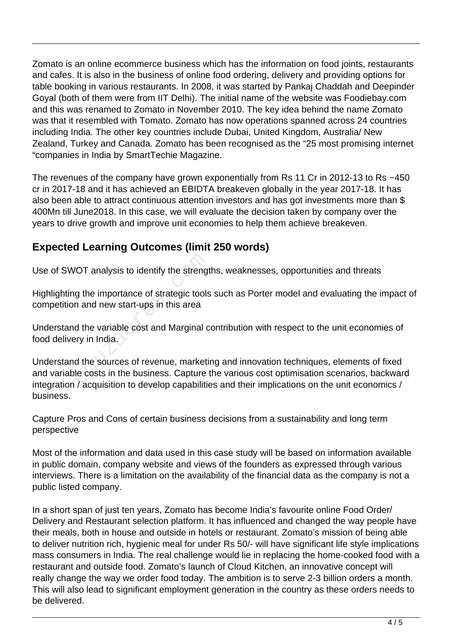Zomato is an online ecommerce business which has the information on food joints, restaurants and cafes. It is also in the business of online food ordering, delivery and providing options for table booking in various restaurants. In 2008, it was started by Pankaj Chaddah and Deepinder Goyal (both of them were from IIT Delhi). The initial name of the website was Foodiebay.com and this was renamed to Zomato in November 2010. The key idea behind the name Zomato was that it resembled with Tomato. Zomato has now operations spanned across 24 countries including India. The other key countries include Dubai, United Kingdom, Australia/ New Zealand, Turkey and Canada. Zomato has been recognised as the "25 most promising internet "companies in India by SmartTechie Magazine.

The revenues of the company have grown exponentially from Rs 11 Cr in 2012-13 to Rs ~450 cr in 2017-18 and it has achieved an EBIDTA breakeven globally in the year 2017-18. It has also been able to attract continuous attention investors and has got investments more than \$ 400Mn till June2018. In this case, we will evaluate the decision taken by company over the years to drive growth and improve unit economies to help them achieve breakeven.

## **Expected Learning Outcomes (limit 250 words)**

Use of SWOT analysis to identify the strengths, weaknesses, opportunities and threats

Highlighting the importance of strategic tools such as Porter model and evaluating the impact of competition and new start-ups in this area

Understand the variable cost and Marginal contribution with respect to the unit economies of food delivery in India.

Understand the sources of revenue, marketing and innovation techniques, elements of fixed and variable costs in the business. Capture the various cost optimisation scenarios, backward integration / acquisition to develop capabilities and their implications on the unit economics / business. OT analysis to identify the strengt<br>
g the importance of strategic tools<br>
in and new start-ups in this area<br>
d the variable cost and Marginal c<br>
ery in India.<br>
d the sources of revenue, marketi<br>
le costs in the business. C

Capture Pros and Cons of certain business decisions from a sustainability and long term perspective

Most of the information and data used in this case study will be based on information available in public domain, company website and views of the founders as expressed through various interviews. There is a limitation on the availability of the financial data as the company is not a public listed company.

In a short span of just ten years, Zomato has become India's favourite online Food Order/ Delivery and Restaurant selection platform. It has influenced and changed the way people have their meals, both in house and outside in hotels or restaurant. Zomato's mission of being able to deliver nutrition rich, hygienic meal for under Rs 50/- will have significant life style implications mass consumers in India. The real challenge would lie in replacing the home-cooked food with a restaurant and outside food. Zomato's launch of Cloud Kitchen, an innovative concept will really change the way we order food today. The ambition is to serve 2-3 billion orders a month. This will also lead to significant employment generation in the country as these orders needs to be delivered.